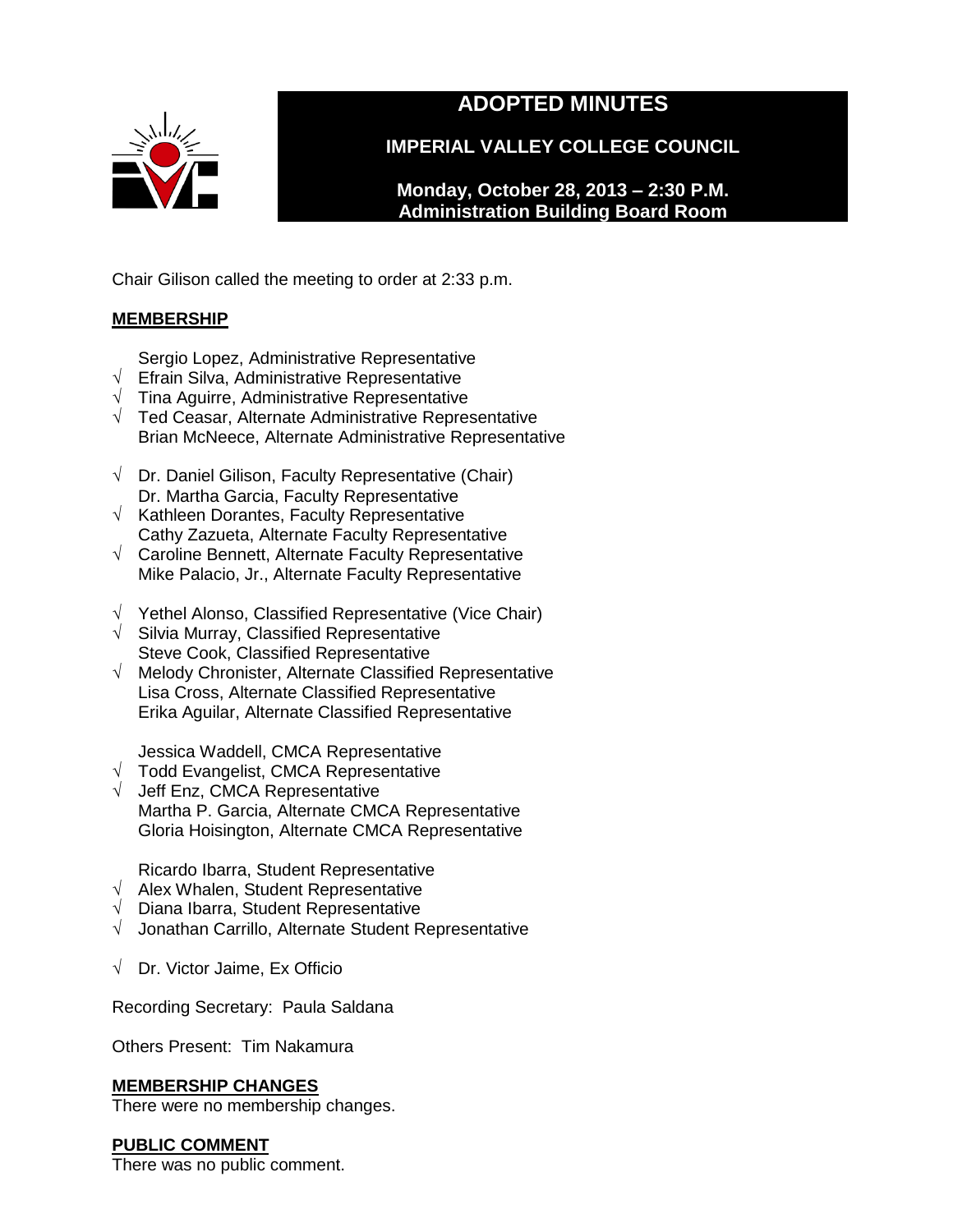

# **ADOPTED MINUTES**

**IMPERIAL VALLEY COLLEGE COUNCIL**

**Monday, October 28, 2013 – 2:30 P.M. Administration Building Board Room** 

Chair Gilison called the meeting to order at 2:33 p.m.

# **MEMBERSHIP**

Sergio Lopez, Administrative Representative

- √ Efrain Silva, Administrative Representative
- $\sqrt{\phantom{a}}$  Tina Aguirre, Administrative Representative
- √ Ted Ceasar, Alternate Administrative Representative Brian McNeece, Alternate Administrative Representative
- $\sqrt{ }$  Dr. Daniel Gilison, Faculty Representative (Chair) Dr. Martha Garcia, Faculty Representative
- $\sqrt{\phantom{a}}$  Kathleen Dorantes, Faculty Representative Cathy Zazueta, Alternate Faculty Representative
- √ Caroline Bennett, Alternate Faculty Representative Mike Palacio, Jr., Alternate Faculty Representative
- √ Yethel Alonso, Classified Representative (Vice Chair)
- √ Silvia Murray, Classified Representative Steve Cook, Classified Representative
- √ Melody Chronister, Alternate Classified Representative Lisa Cross, Alternate Classified Representative Erika Aguilar, Alternate Classified Representative

Jessica Waddell, CMCA Representative

- √ Todd Evangelist, CMCA Representative
- √ Jeff Enz, CMCA Representative Martha P. Garcia, Alternate CMCA Representative Gloria Hoisington, Alternate CMCA Representative

Ricardo Ibarra, Student Representative

- √ Alex Whalen, Student Representative
- √ Diana Ibarra, Student Representative
- √ Jonathan Carrillo, Alternate Student Representative
- √ Dr. Victor Jaime, Ex Officio

Recording Secretary: Paula Saldana

Others Present: Tim Nakamura

# **MEMBERSHIP CHANGES**

There were no membership changes.

# **PUBLIC COMMENT**

There was no public comment.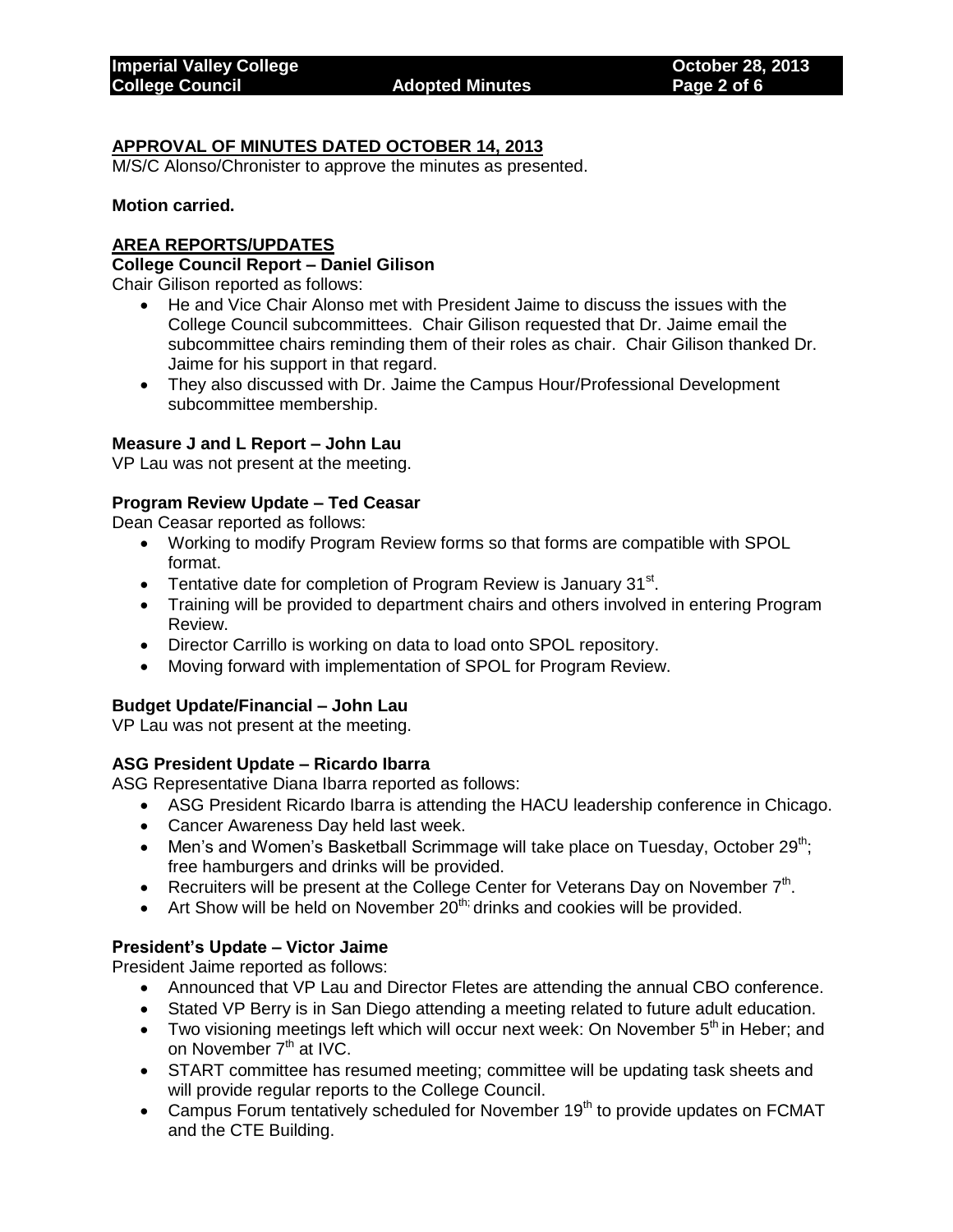# **APPROVAL OF MINUTES DATED OCTOBER 14, 2013**

M/S/C Alonso/Chronister to approve the minutes as presented.

#### **Motion carried.**

#### **AREA REPORTS/UPDATES**

#### **College Council Report – Daniel Gilison**

Chair Gilison reported as follows:

- He and Vice Chair Alonso met with President Jaime to discuss the issues with the College Council subcommittees. Chair Gilison requested that Dr. Jaime email the subcommittee chairs reminding them of their roles as chair. Chair Gilison thanked Dr. Jaime for his support in that regard.
- They also discussed with Dr. Jaime the Campus Hour/Professional Development subcommittee membership.

#### **Measure J and L Report – John Lau**

VP Lau was not present at the meeting.

#### **Program Review Update – Ted Ceasar**

Dean Ceasar reported as follows:

- Working to modify Program Review forms so that forms are compatible with SPOL format.
- Tentative date for completion of Program Review is January  $31<sup>st</sup>$ .
- Training will be provided to department chairs and others involved in entering Program Review.
- Director Carrillo is working on data to load onto SPOL repository.
- Moving forward with implementation of SPOL for Program Review.

#### **Budget Update/Financial – John Lau**

VP Lau was not present at the meeting.

#### **ASG President Update – Ricardo Ibarra**

ASG Representative Diana Ibarra reported as follows:

- ASG President Ricardo Ibarra is attending the HACU leadership conference in Chicago.
- Cancer Awareness Day held last week.
- Men's and Women's Basketball Scrimmage will take place on Tuesday, October  $29^{th}$ ; free hamburgers and drinks will be provided.
- Recruiters will be present at the College Center for Veterans Day on November  $7<sup>th</sup>$ .
- Art Show will be held on November  $20^{th}$ ; drinks and cookies will be provided.

#### **President's Update – Victor Jaime**

President Jaime reported as follows:

- Announced that VP Lau and Director Fletes are attending the annual CBO conference.
- Stated VP Berry is in San Diego attending a meeting related to future adult education.
- Two visioning meetings left which will occur next week: On November  $5<sup>th</sup>$  in Heber; and on November  $7<sup>th</sup>$  at IVC.
- START committee has resumed meeting; committee will be updating task sheets and will provide regular reports to the College Council.
- Campus Forum tentatively scheduled for November  $19<sup>th</sup>$  to provide updates on FCMAT and the CTE Building.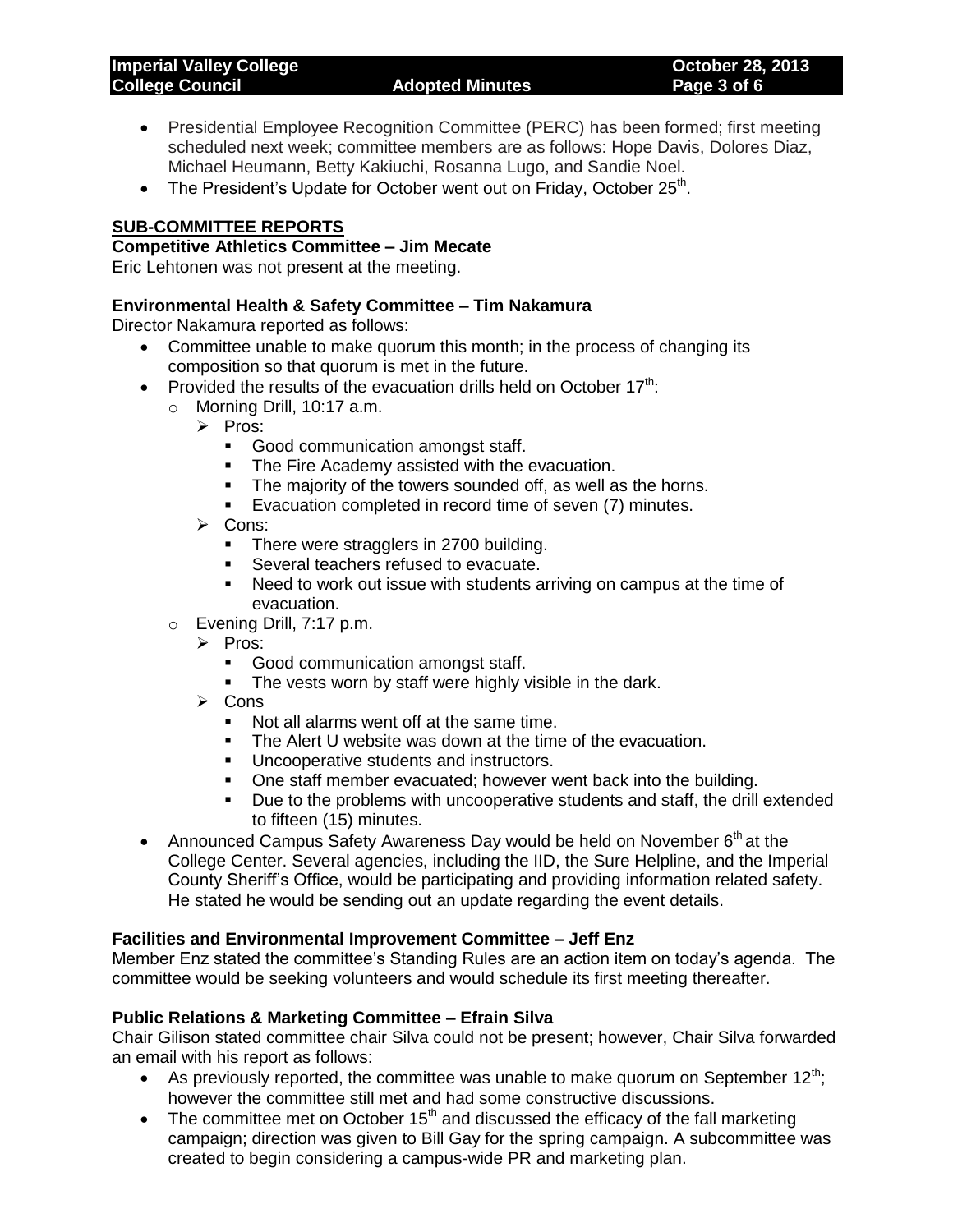| <b>Imperial Valley College</b> |  |
|--------------------------------|--|
| <b>College Council</b>         |  |

- Presidential Employee Recognition Committee (PERC) has been formed; first meeting scheduled next week; committee members are as follows: Hope Davis, Dolores Diaz, Michael Heumann, Betty Kakiuchi, Rosanna Lugo, and Sandie Noel.
- The President's Update for October went out on Friday, October  $25<sup>th</sup>$ .

## **SUB-COMMITTEE REPORTS**

#### **Competitive Athletics Committee – Jim Mecate**

Eric Lehtonen was not present at the meeting.

## **Environmental Health & Safety Committee – Tim Nakamura**

Director Nakamura reported as follows:

- Committee unable to make quorum this month; in the process of changing its composition so that quorum is met in the future.
- Provided the results of the evacuation drills held on October  $17<sup>th</sup>$ .
	- o Morning Drill, 10:17 a.m.
		- $\triangleright$  Pros:
			- Good communication amongst staff.
			- **The Fire Academy assisted with the evacuation.**
			- The majority of the towers sounded off, as well as the horns.
			- **Evacuation completed in record time of seven (7) minutes.**
		- $\triangleright$  Cons:
			- There were stragglers in 2700 building.
			- **Several teachers refused to evacuate.**
			- Need to work out issue with students arriving on campus at the time of evacuation.
	- o Evening Drill, 7:17 p.m.
		- $\triangleright$  Pros:
			- Good communication amongst staff.
			- The vests worn by staff were highly visible in the dark.
		- $\triangleright$  Cons
			- Not all alarms went off at the same time.
			- **The Alert U website was down at the time of the evacuation.**
			- **Uncooperative students and instructors.**
			- One staff member evacuated; however went back into the building.
			- **Due to the problems with uncooperative students and staff, the drill extended** to fifteen (15) minutes.
- Announced Campus Safety Awareness Day would be held on November  $6<sup>th</sup>$  at the College Center. Several agencies, including the IID, the Sure Helpline, and the Imperial County Sheriff's Office, would be participating and providing information related safety. He stated he would be sending out an update regarding the event details.

## **Facilities and Environmental Improvement Committee – Jeff Enz**

Member Enz stated the committee's Standing Rules are an action item on today's agenda. The committee would be seeking volunteers and would schedule its first meeting thereafter.

## **Public Relations & Marketing Committee – Efrain Silva**

Chair Gilison stated committee chair Silva could not be present; however, Chair Silva forwarded an email with his report as follows:

- As previously reported, the committee was unable to make quorum on September  $12^{th}$ ; however the committee still met and had some constructive discussions.
- The committee met on October  $15<sup>th</sup>$  and discussed the efficacy of the fall marketing campaign; direction was given to Bill Gay for the spring campaign. A subcommittee was created to begin considering a campus-wide PR and marketing plan.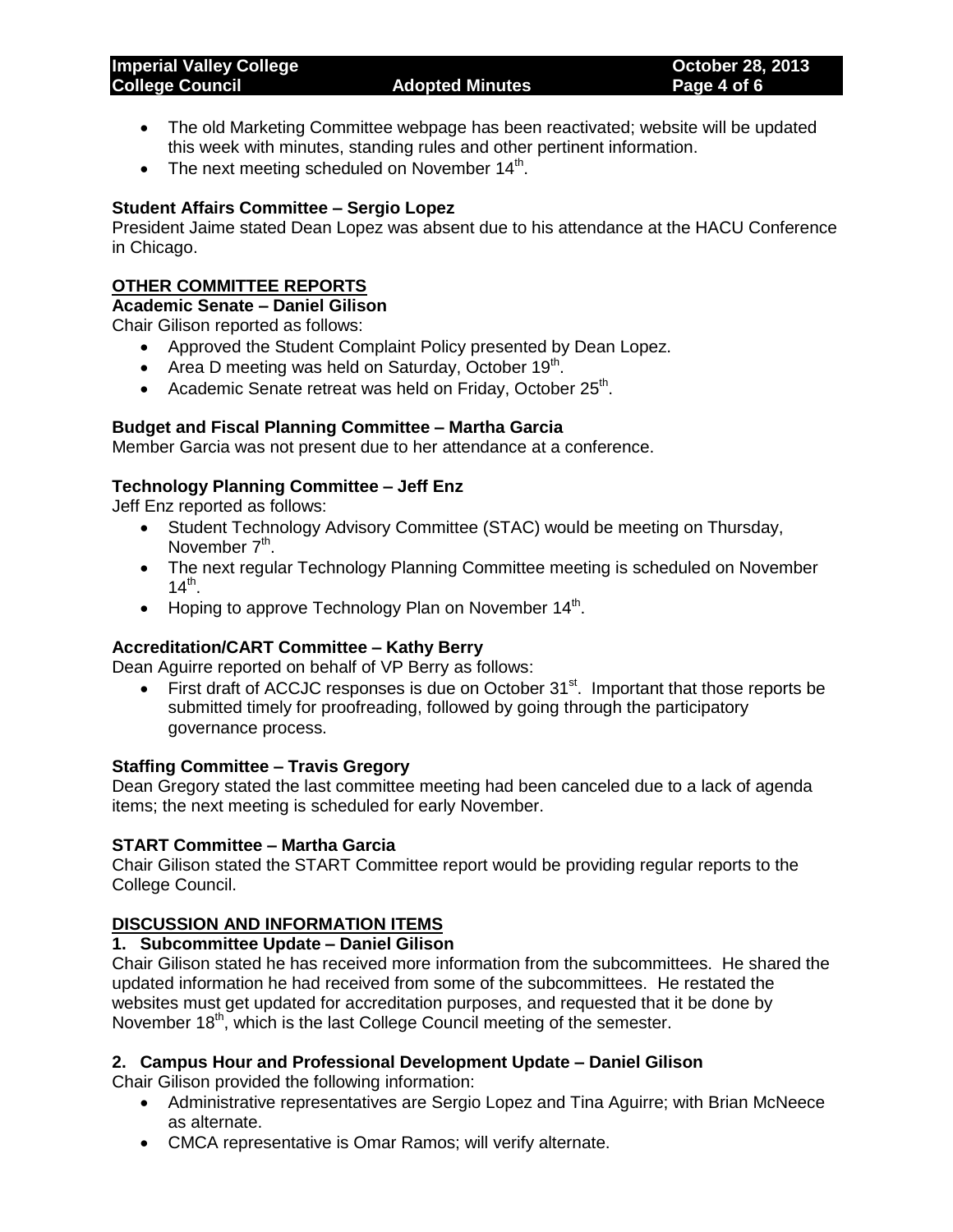| <b>Imperial Valley College</b> |                        | <b>October 28, 2013</b> |
|--------------------------------|------------------------|-------------------------|
| <b>College Council</b>         | <b>Adopted Minutes</b> | Page 4 of 6             |
|                                |                        |                         |

- The old Marketing Committee webpage has been reactivated; website will be updated this week with minutes, standing rules and other pertinent information.
- The next meeting scheduled on November  $14<sup>th</sup>$ .

## **Student Affairs Committee – Sergio Lopez**

President Jaime stated Dean Lopez was absent due to his attendance at the HACU Conference in Chicago.

# **OTHER COMMITTEE REPORTS**

**Academic Senate – Daniel Gilison**

Chair Gilison reported as follows:

- Approved the Student Complaint Policy presented by Dean Lopez.
- Area D meeting was held on Saturday, October  $19<sup>th</sup>$ .
- Academic Senate retreat was held on Friday, October 25<sup>th</sup>.

# **Budget and Fiscal Planning Committee – Martha Garcia**

Member Garcia was not present due to her attendance at a conference.

# **Technology Planning Committee – Jeff Enz**

Jeff Enz reported as follows:

- Student Technology Advisory Committee (STAC) would be meeting on Thursday, November 7<sup>th</sup>.
- The next regular Technology Planning Committee meeting is scheduled on November  $14^{th}$ .
- Hoping to approve Technology Plan on November  $14<sup>th</sup>$ .

# **Accreditation/CART Committee – Kathy Berry**

Dean Aguirre reported on behalf of VP Berry as follows:

 $\bullet$  First draft of ACCJC responses is due on October 31 $^{\text{st}}$ . Important that those reports be submitted timely for proofreading, followed by going through the participatory governance process.

## **Staffing Committee – Travis Gregory**

Dean Gregory stated the last committee meeting had been canceled due to a lack of agenda items; the next meeting is scheduled for early November.

## **START Committee – Martha Garcia**

Chair Gilison stated the START Committee report would be providing regular reports to the College Council.

# **DISCUSSION AND INFORMATION ITEMS**

## **1. Subcommittee Update – Daniel Gilison**

Chair Gilison stated he has received more information from the subcommittees. He shared the updated information he had received from some of the subcommittees. He restated the websites must get updated for accreditation purposes, and requested that it be done by November 18<sup>th</sup>, which is the last College Council meeting of the semester.

## **2. Campus Hour and Professional Development Update – Daniel Gilison**

Chair Gilison provided the following information:

- Administrative representatives are Sergio Lopez and Tina Aguirre; with Brian McNeece as alternate.
- CMCA representative is Omar Ramos; will verify alternate.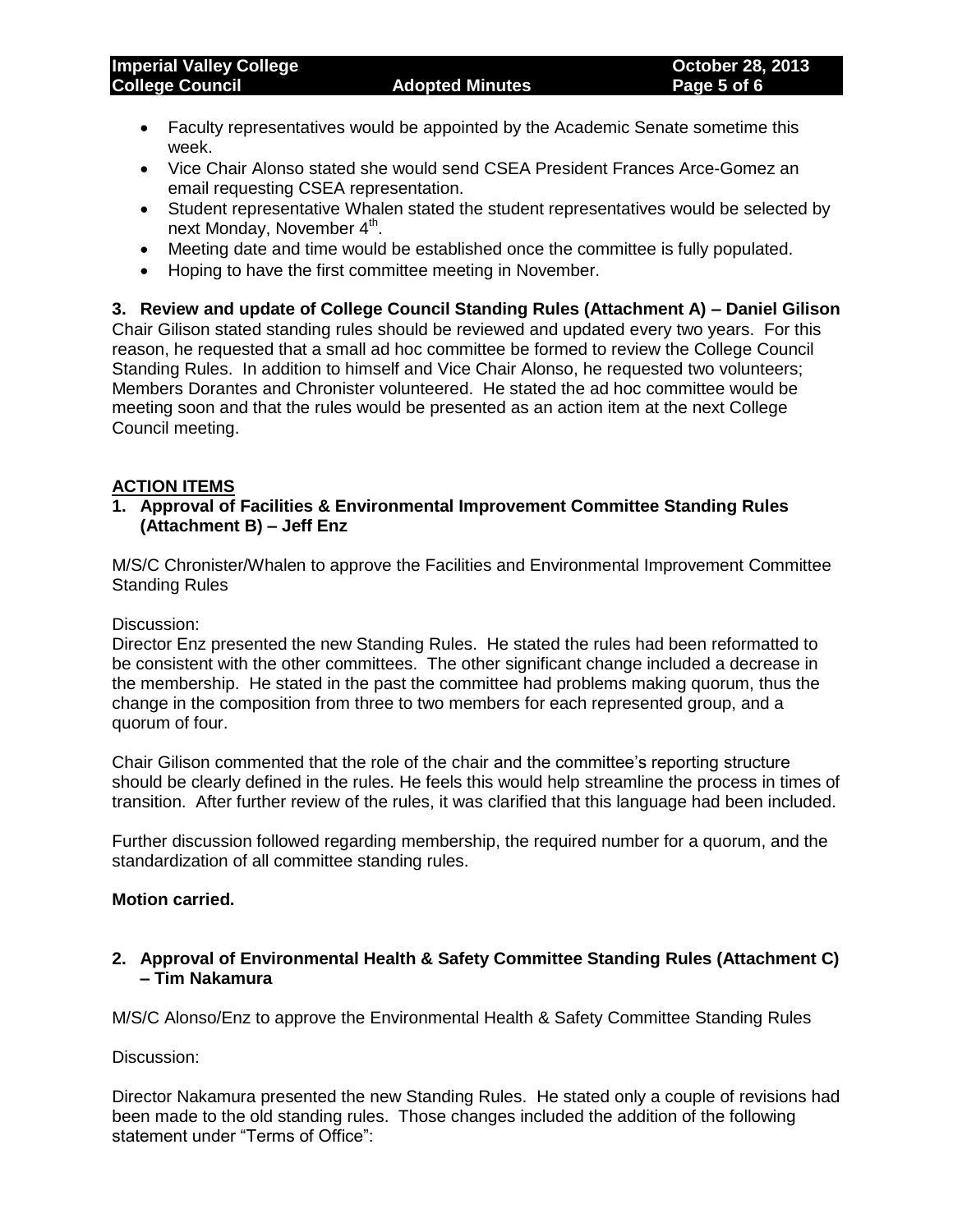- Faculty representatives would be appointed by the Academic Senate sometime this week.
- Vice Chair Alonso stated she would send CSEA President Frances Arce-Gomez an email requesting CSEA representation.
- Student representative Whalen stated the student representatives would be selected by next Monday, November 4<sup>th</sup>.
- Meeting date and time would be established once the committee is fully populated.
- Hoping to have the first committee meeting in November.

**3. Review and update of College Council Standing Rules (Attachment A) – Daniel Gilison** Chair Gilison stated standing rules should be reviewed and updated every two years. For this reason, he requested that a small ad hoc committee be formed to review the College Council Standing Rules. In addition to himself and Vice Chair Alonso, he requested two volunteers; Members Dorantes and Chronister volunteered. He stated the ad hoc committee would be meeting soon and that the rules would be presented as an action item at the next College Council meeting.

## **ACTION ITEMS**

**1. Approval of Facilities & Environmental Improvement Committee Standing Rules (Attachment B) – Jeff Enz**

M/S/C Chronister/Whalen to approve the Facilities and Environmental Improvement Committee Standing Rules

Discussion:

Director Enz presented the new Standing Rules. He stated the rules had been reformatted to be consistent with the other committees. The other significant change included a decrease in the membership. He stated in the past the committee had problems making quorum, thus the change in the composition from three to two members for each represented group, and a quorum of four.

Chair Gilison commented that the role of the chair and the committee's reporting structure should be clearly defined in the rules. He feels this would help streamline the process in times of transition. After further review of the rules, it was clarified that this language had been included.

Further discussion followed regarding membership, the required number for a quorum, and the standardization of all committee standing rules.

## **Motion carried.**

**2. Approval of Environmental Health & Safety Committee Standing Rules (Attachment C) – Tim Nakamura**

M/S/C Alonso/Enz to approve the Environmental Health & Safety Committee Standing Rules

Discussion:

Director Nakamura presented the new Standing Rules. He stated only a couple of revisions had been made to the old standing rules. Those changes included the addition of the following statement under "Terms of Office":